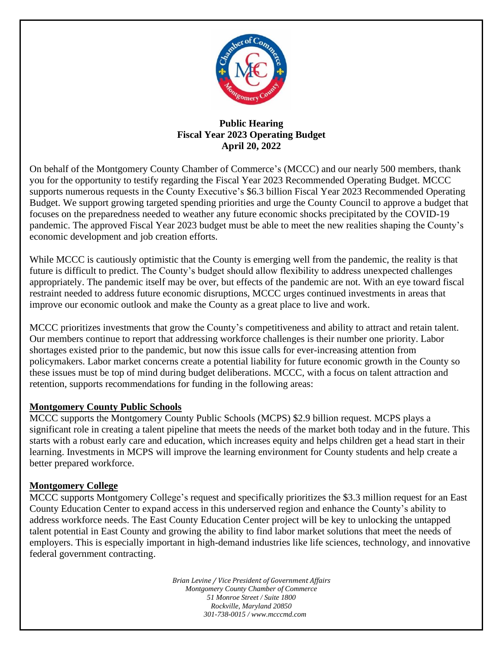

## **Public Hearing Fiscal Year 2023 Operating Budget April 20, 2022**

On behalf of the Montgomery County Chamber of Commerce's (MCCC) and our nearly 500 members, thank you for the opportunity to testify regarding the Fiscal Year 2023 Recommended Operating Budget. MCCC supports numerous requests in the County Executive's \$6.3 billion Fiscal Year 2023 Recommended Operating Budget. We support growing targeted spending priorities and urge the County Council to approve a budget that focuses on the preparedness needed to weather any future economic shocks precipitated by the COVID-19 pandemic. The approved Fiscal Year 2023 budget must be able to meet the new realities shaping the County's economic development and job creation efforts.

While MCCC is cautiously optimistic that the County is emerging well from the pandemic, the reality is that future is difficult to predict. The County's budget should allow flexibility to address unexpected challenges appropriately. The pandemic itself may be over, but effects of the pandemic are not. With an eye toward fiscal restraint needed to address future economic disruptions, MCCC urges continued investments in areas that improve our economic outlook and make the County as a great place to live and work.

MCCC prioritizes investments that grow the County's competitiveness and ability to attract and retain talent. Our members continue to report that addressing workforce challenges is their number one priority. Labor shortages existed prior to the pandemic, but now this issue calls for ever-increasing attention from policymakers. Labor market concerns create a potential liability for future economic growth in the County so these issues must be top of mind during budget deliberations. MCCC, with a focus on talent attraction and retention, supports recommendations for funding in the following areas:

## **Montgomery County Public Schools**

MCCC supports the Montgomery County Public Schools (MCPS) \$2.9 billion request. MCPS plays a significant role in creating a talent pipeline that meets the needs of the market both today and in the future. This starts with a robust early care and education, which increases equity and helps children get a head start in their learning. Investments in MCPS will improve the learning environment for County students and help create a better prepared workforce.

## **Montgomery College**

MCCC supports Montgomery College's request and specifically prioritizes the \$3.3 million request for an East County Education Center to expand access in this underserved region and enhance the County's ability to address workforce needs. The East County Education Center project will be key to unlocking the untapped talent potential in East County and growing the ability to find labor market solutions that meet the needs of employers. This is especially important in high-demand industries like life sciences, technology, and innovative federal government contracting.

> *Brian Levine / Vice President of Government Affairs Montgomery County Chamber of Commerce 51 Monroe Street / Suite 1800 Rockville, Maryland 20850 301-738-0015 / www.mcccmd.com*